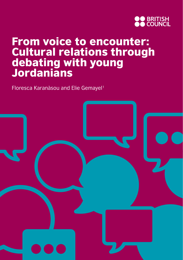

# From voice to encounter: Cultural relations through debating with young **Jordanians**

Floresca Karanàsou and Elie Gemayel1

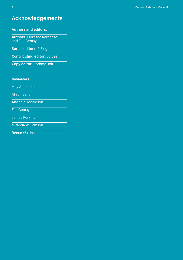### **Acknowledgements**

**Authors and editors:**

**Authors:** Floresca Karanàsou and Elie Gemayel

**Series editor:** JP Singh

**Contributing editor:** Jo Beall

**Copy editor:** Rodney Bolt

**Reviewers:**

May Abuhamdia

Alison Baily

Alasdair Donaldson

Elie Gemayel

James Perkins

Miranda Williamson

Reece Waldron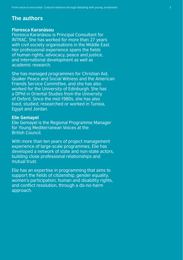### **The authors**

#### **Floresca Karanàsou**

Floresca Karanàsou is Principal Consultant for INTRAC. She has worked for more than 27 years with civil society organisations in the Middle East. Her professional experience spans the fields of human rights, advocacy, peace and justice, and international development as well as academic research.

She has managed programmes for Christian Aid, Quaker Peace and Social Witness and the American Friends Service Committee, and she has also worked for the University of Edinburgh. She has a DPhil in Oriental Studies from the University of Oxford. Since the mid-1980s, she has also lived, studied, researched or worked in Tunisia, Egypt and Jordan.

#### **Elie Gemayel**

Elie Gemayel is the Regional Programme Manager for Young Mediterranean Voices at the British Council.

With more than ten years of project management experience of large-scale programmes, Elie has developed a network of state and non-state actors, building close professional relationships and mutual trust.

Elie has an expertise in programming that aims to support the fields of citizenship, gender equality, women's participation, human and disability rights, and conflict resolution, through a do-no-harm approach.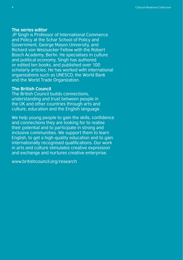#### **The series editor**

JP Singh is Professor of International Commerce and Policy at the Schar School of Policy and Government, George Mason University, and Richard von Weizsacker Fellow with the Robert Bosch Academy, Berlin. He specialises in culture and political economy. Singh has authored or edited ten books, and published over 100 scholarly articles. He has worked with international organisations such as UNESCO, the World Bank and the World Trade Organization.

### **The British Council**

The British Council builds connections, understanding and trust between people in the UK and other countries through arts and culture, education and the English language.

We help young people to gain the skills, confidence and connections they are looking for to realise their potential and to participate in strong and inclusive communities. We support them to learn English, to get a high-quality education and to gain internationally recognised qualifications. Our work in arts and culture stimulates creative expression and exchange and nurtures creative enterprise.

www.britishcouncil.org/research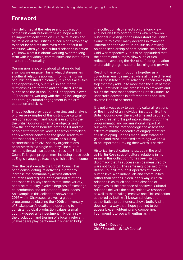### **Foreword**

I am delighted at the release and publication of the first contributions to what I hope will be an important collection on cultural relations and the mission of the British Council. Not always easy to describe and at times even more difficult to measure, when you see cultural relations in action you know what it is about: working over the long term with individuals, communities and institutions in a spirit of mutuality.

Our mission is not only about what we do but also how we engage. This is what distinguishes a cultural relations approach from other forms of public or cultural diplomacy. It is about activities and opportunities, but it is also about how relationships are formed and nourished. And in our case as the British Council it happens in over 100 countries, working with the English language and through cultural engagement in the arts, education and skills.

This collection provides an overview and analysis of diverse examples of this distinctive cultural relations approach and how it is used to further the British Council's charitable objects, and how the approach benefits both the UK and the people with whom we work. The ways of working apply whether convening the global leaders of international higher education, or building partnerships with civil society organisations or artists within a single country. The cultural relations thread also applies across the British Council's largest programmes, including those such as English language teaching which deliver income.

Over the past decade the British Council has been consolidating its activities in order to increase the commonality across different countries and regions. Yet a cultural relations approach will always necessitate some variety, because mutuality involves degrees of exchange, co-production and adaptation to local needs. An example in this collection shows how in 2016 within Shakespeare Lives, a global programme celebrating the 400th anniversary of Shakespeare's death, and operating to consistent global production values, a small, country-based arts investment in Nigeria saw the production and touring of a locally relevant Shakespeare play performed in Nigerian Pidgin.

The collection also reflects on the long view and includes two contributions which draw on historical investigation to understand the British Council's role over many decades in Myanmar (Burma) and the Soviet Union/Russia, drawing on deep scholarship of post-colonialism and the Cold War respectively. It is to be applauded that the editors and authors allow such critical reflection, avoiding the risk of self-congratulation and enabling organisational learning and growth.

Reading these contributions together as a collection reminds me that while all these different areas constitute cultural relations in their own right, together they add up to more than the sum of their parts. Hard work in one area leads to networks and builds the trust that enables the British Council to undertake activities in different areas and with diverse kinds of partners.

It is not always easy to quantify cultural relations or the impact of an individual institution like the British Council over the arc of time and geography. Today, great effort is put into evaluating both the programmatic and organisational impact of our work. Yet the methodologies to assess the effects of multiple decades of engagement are still developing. Friends made, understanding gained and trust increased are things we know to be important. Proving their worth is harder.

Historical investigation helps, but in the end, as Martin Rose says of cultural relations in his essay in this collection: 'It has been said of diplomacy that its success can be measured by wars not fought … The same might be said of the British Council, though it operates at a more human level with individuals and communities rather than nations.' Seen in this way, cultural relations is as much about the absence of negatives as the presence of positives. Cultural relations delivers the calm, reflective response as well as the bustling, creative one. This collection, authored by both well-known scholars and authoritative practitioners, shows both. And it does so in a way that I hope you find to be accessible, enlightening and compelling. I commend it to you with enthusiasm.

#### **Sir Ciarán Devane**

Chief Executive, *British Council*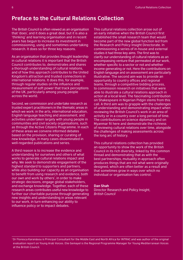### **Preface to the Cultural Relations Collection**

The British Council is often viewed as an organisation that 'does', and it does a great deal, but it is also a 'thinking' and learning organisation and in recent years has begun to increase its investment in commissioning, using and sometimes undertaking research. It does so for three key reasons.

As an organisation that provides thought leadership in cultural relations it is important that the British Council contributes to, demonstrates and shares a thorough understanding of cultural relations, and of how this approach contributes to the United Kingdom's attraction and trusted connections in international relations. It does this, for example, through regular studies on the influence and measurement of soft power that track perceptions of the UK, particularly among young people across the world.

Second, we commission and undertake research as trusted expert practitioners in the thematic areas in which we work: in the arts, international education, English language teaching and assessment, and activities undertaken largely with young people in communities and civil society organisations, such as through the Active Citizens Programme. In each of these areas we convene informed debates based on the provision, sharing or curating of new knowledge, in many cases disseminated in well-regarded publications and series.

A third reason is to increase the evidence and understanding for ourselves and others of what works to generate cultural relations impact and why. We seek to demonstrate engagement of the highest standard to supporters and partners, while also building our capacity as an organisation to benefit from using research and evidence, both our own and work by others', in order to make strategic decisions, engage global stakeholders, and exchange knowledge. Together, each of these research areas contributes useful new knowledge to further our charitable purpose through generating new insights and understanding in areas relevant to our work, in turn enhancing our ability to influence policy or to impact debates.

This cultural relations collection arose out of an early initiative when the British Council first established the small research team that would become part of the new global function led from the Research and Policy Insight Directorate. In commissioning a series of in-house and external studies it had three key aims. The first was to clarify our understanding of cultural relations as an encompassing venture that permeated all our work, whether specific to a sector or not and whether income generating or not. Here the contributions on English language and on assessment are particularly illustrative. The second aim was to provide an opportunity to country offices and regional teams, through a competitive bidding process, to commission research on initiatives that were able to illustrate a cultural relations approach in action at a local level. The fascinating contribution on Shakespeare in Nigerian Pidgin stems from this call. A third aim was to grapple with the challenges of understanding and demonstrating impact when reviewing the British Council's work in an area of activity or in a country over a long period of time. The contributions on science diplomacy and on Myanmar fit here and demonstrate the richness of reviewing cultural relations over time, alongside the challenges of making assessments across the long arc of history.

This cultural relations collection has provided an opportunity to show the work of the British Council in its rich diversity, linked by this common thread and demonstrating that as with the best partnerships, mutuality in approach often produces things that are not what were originally designed, which are often better as a result and that sometimes grow in ways over which no individual or organisation has control.

#### **Dan Shah**

Director Research and Policy Insight, *British Council*

1 Dr Floresca Karanàsou is Principal Consultant for the Middle East and North Africa for INTRAC and was author of the original evaluation report on Young Arab Voices. Elie Gemayel is the Regional Programme Manager for Young Mediterranean Voices at the British Council.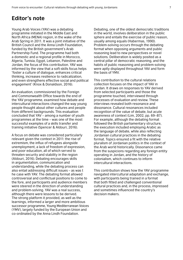### **Editor's note**

Young Arab Voices (YAV) was a debating programme initiated in the Middle East and North Africa (MFNA) region, in the wake of the Arab Spring in 2011. It was a joint initiative of the British Council and the Anna Lindh Foundation, funded by the British government's Arab Partnership Fund. The programme had both a domestic and a regional profile in Morocco, Algeria, Tunisia, Egypt, Lebanon, Palestine and Jordan, the focus of this contribution. YAV was informed by the view that a soft-skills focus helps 'foster a culture of dialogue, enhances critical thinking, increases resilience to radicalization, and even strengthens effective social and political engagement' (Knox & Donaldson, 2016).

An evaluation, commissioned by the Foreign and Commonwealth Office towards the end of the YAV programme, examined how debate and intercultural interactions changed the way young people thought about other cultures and people from different backgrounds. This evaluation concluded that YAV – among a number of youth programmes at the time – was one of the most successful examples of a skills transfer and training initiative (Spencer & Aldouri, 2016).

A focus on debate was considered particularly relevant given the context in 2011: the rise of extremism, the influx of refugees alongside unemployment, a lack of freedom of expression, and poor education, all of which served to threaten security and stability in the region (Aldouri, 2016). Debating encourages skills in argumentation, communication and understanding, while the debating process can also entail addressing difficult issues – as was t he case with YAV. The debating format allowed controversial and conflictual positions to come to the fore, and participants and audience members were steered in the direction of understanding and problem-solving. YAV was a real success, although there were lessons to be derived. The strong platform it provided, as well as the learnings, informed a larger and more ambitious successor programme, Young Mediterranean Voices (YMV), largely funded by the European Union and co-ordinated by the Anna Lindh Foundation.

Debating, one of the oldest democratic traditions in the world, involves deliberation in the public sphere and entails the exercise of public reason, usually among equals (Habermas, 1990). Problem-solving occurs through the debating format when opposing arguments and public reasoning lead to new perspectives or novel solutions. Deliberation is widely posited as a central pillar of democratic reasoning, and the habits of public reasoning and problem-solving were aptly displayed throughout YAV and form the basis of YMV.

This contribution to the cultural relations collection focuses on the impact of YAV in Jordan. It draws on responses to YAV derived from selected participants and those the programme touched, interviewed through processes of evaluation and review. These interviews revealed both resonance and dissonance. Cultural resonances included recognition of the value of debate, but acute awareness of context (Lim, 2002, pp. 69–87). For example, although the debating format followed the British parliamentary structure, the execution included employing Arabic as the language of debate, while also reflecting Jordanian cultural practices in the debating format. Topics ensured a fit with the relative pluralism of Jordanian politics in the context of the Arab world historically. Dissonance came from the suspicions regarding any foreign entity operating in Jordan, and the history of colonialism, which continues to inform intercultural interactions.

This contribution shows how the YAV programme navigated intercultural adaptation and exchange, with participants being trained in a format that both fitted and challenged conventional cultural practices and, in the process, impressed and sometimes influenced the country's decision makers.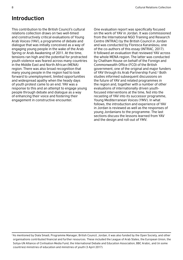# **Introduction**

This contribution to the British Council's cultural relations collection draws on two well-timed and constructively critical evaluations of Young Arab Voices (YAV), a programme of debate and dialogue that was initially conceived as a way of engaging young people in the wake of the Arab Spring or Arab Awakening of 2011. At the time, tensions ran high and the potential for protracted youth violence was feared across many countries in the Middle East and North African (MENA) region. There was also broad recognition that many young people in the region had to look forward to unemployment, limited opportunities and widespread apathy when the heady days of youth protest came to an end. YAV was a response to this and an attempt to engage young people through debate and dialogue as a way of enhancing their voice and fostering their engagement in constructive encounter.

One evaluation report was specifically focused on the work of YAV in Jordan. It was commissioned from the International NGO Training and Research Centre (INTRAC) by the British Council in Jordan and was conducted by Floresca Karanàsou, one of the co-authors of this essay (INTRAC, 2017). It followed an evaluation that reviewed YAV across the whole MENA region. The latter was conducted by Chatham House on behalf of the Foreign and Commonwealth Office (FCO) of the British government, one of the original and major funders of YAV through its Arab Partnership Fund.2 Both studies informed subsequent discussions on the future of YAV and related programmes in the region and, together with a number of other evaluations of internationally driven youthfocused interventions at the time, fed into the recasting of YAV into its successor programme, Young Mediterranean Voices (YMV). In what follows, the introduction and experience of YAV in Jordan is reviewed as well as the responses of young Jordanians to the programme. The last sections discuss the lessons learned from YAV and the design and roll-out of YMV.

<sup>2</sup>As mentioned by Diala Smadi, Programme Manager, British Council, Jordan, it was also funded by the Open Society, and other organisations contributed financial and further resources. These included the League of Arab States, the European Union, the Soliya-UN Alliance of Civilisation Media Fund, the International Debate and Education Association, BBC Arabic, and (in some countries) ministries of education and ministries of youth (3 April 2017).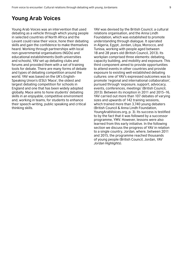### **Young Arab Voices**

Young Arab Voices was an intervention that used debating as a vehicle through which young people in selected countries of North Africa and the Levant could raise their voice, hone their debating skills and gain the confidence to make themselves heard. Working through partnerships with local non-governmental organisations (NGOs) and educational establishments (both universities and schools), YAV set up debating clubs and forums and provided them with a set of training tools for debate. There are many forms of debate and types of debating competition around the world. YAV was based on the UK's English-Speaking Union's (ESU) 'Mace', the oldest and largest debating competition for schools in England and one that has been widely adopted globally. Mace aims to hone students' debating skills in an enjoyable, competitive environment and, working in teams, for students to enhance their speech-writing, public speaking and critical thinking skills.

YAV was devised by the British Council, a cultural relations organisation, and the Anna Lindh Foundation, which was established to promote understanding through dialogue. It operated in Algeria, Egypt, Jordan, Libya, Morocco, and Tunisia, working with people aged between 18 and 28 years old (British Council, 2013). Its workplan comprised three elements: debating, capacity building, and mobility and exposure. This third component aimed to provide opportunities to attend events in other countries and provide exposure to existing well-established debating cultures: one of YAV's expressed outcomes was to promote 'regional and international collaboration', pursued through 'exposure, support, advocacy, events, conferences, meetings' (British Council, 2013). Between its inception in 2011 and 2015–16, YAV carried out more than 107 debates of varying sizes and upwards of 142 training sessions, which trained more than 3,740 young debaters (British Council & Anna Lindh Foundation, YoungArabVoices.org, p. 3). Its success is testified to by the fact that it was followed by a successor programme, YMV. However, lessons were also learned from this early initiative. In the following section we discuss the progress of YAV in relation to a single country, Jordan, where, between 2011 and 2015, the programme reached thousands of young people (British Council, Jordan, *YAV Jordan Highlights*).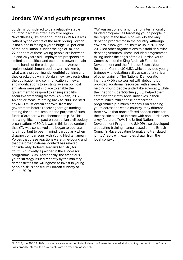### **Jordan: YAV and youth programmes**

Jordan is considered to be a relatively stable country in what is often a volatile region. Nevertheless, like other countries in MENA it was rattled by the events of the Arab Spring. Jordan is not alone in facing a youth bulge: 70 per cent of the population is under the age of 30, and 22 per cent of those young people are between 15 and 24 years old. Employment prospects are limited and political and economic power remain in the hands of the older generation. Across the region, establishment bodies were shaken by what was a predominantly youthful uprising and they cracked down. In Jordan, new laws restricting the publication and communication of news, and modifications to existing laws on political affiliation were put in place to enable the government to respond to arising stability/ security-threatening factors (Abu-Rish, 2017).<sup>3</sup> An earlier measure dating back to 2008 insisted any NGO must obtain approval from the government before receiving foreign funding, stating the source, amount and purpose of such funds (Carothers & Brechenmacher, p. 8). This had a significant impact on Jordanian civil society organisations (CSOs). It was in this broad context that YAV was conceived and began to operate. It is important to bear in mind, particularly when drawing comparisons with Young Mediterranean Voices that these reactions were time-bound and that the broad national context has relaxed considerably. Indeed, Jordan's Ministry for Youth is currently a partner in the successor programme, YMV. Additionally, the ambitious youth strategy issued recently by the ministry demonstrates the willingness to invest in young people's skills and future (Jordan Ministry of Youth, 2019).

YAV was just one of a number of internationally funded programmes targeting young people in the region at the time. Nor was YAV the only debating programme in the country. Although YAV broke new ground, its take up in 2011 and 2012 led other organisations to establish similar debating ventures. These included programmes falling under the aegis of the All Jordan Youth Commission of the King Abdullah Fund for Development and the Princess Basma Youth Resource Centre (JOHUD), which provided young trainees with debating skills as part of a variety of other training. The National Democratic Institute (NDI) also worked with debating but provided additional resources with a view to .<br>helping young people undertake advocacy, while the Friedrich-Ebert-Stiftung (FES) helped them establish their own social initiatives in their communities. While these comparator programmes put much emphasis on reaching youth across the whole country, they differed from YAV in that none offered opportunities for their participants to interact with non-Jordanians, a key feature of YAV. The United Nations Development Programme (UNDP) also developed a debating training manual based on the British Council's Mace debating format, and translated it into Arabic with examples drawn from the local context.

<sup>3</sup> In 2014, the 2006 Anti-Terrorism Law was amended to include acts of terrorism aimed at 'disturbing the public order', which was broadly interpreted as a crackdown on freedom of speech.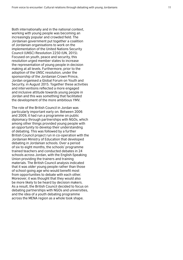Both internationally and in the national context, working with young people was becoming an increasingly popular and crowded field. The Jordanian government put together a coalition of Jordanian organisations to work on the implementation of the United Nations Security Council (UNSC) Resolution 2250 (UN, 2015). Focused on youth, peace and security, this resolution urged member states to increase the representation of young people in decision making at all levels. Furthermore, prior to the adoption of the UNSC resolution, under the sponsorship of the Jordanian Crown Prince, Jordan organised a Global Forum on Youth and Security, in August 2015. Together these activities and interventions reflected a more engaged and inclusive attitude towards young people in Jordan and this was something that facilitated the development of the more ambitious YMV.

The role of the British Council in Jordan was particularly important early on. Between 2006 and 2009, it had run a programme on public diplomacy through partnerships with NGOs, which among other things provided young people with an opportunity to develop their understanding of debating. This was followed by a further British Council project run in co-operation with the Jordanian Ministry of Education that developed debating in Jordanian schools. Over a period of six to eight months, the schools' programme trained teachers and conducted debates in 24 schools across Jordan, with the English-Speaking Union providing the trainers and training materials. The British Council analysis indicated that it was *older* young people rather than those of school-going age who would benefit most from opportunities to debate with each other. Moreover, it was thought that they would also be more likely to be heard by decision makers. As a result, the British Council decided to focus on debating partnerships with NGOs and universities, and the idea of a youth debating programme across the MENA region as a whole took shape.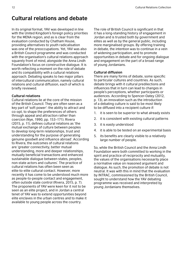### **Cultural relations and debate**

In its original format, YAV was developed in line with the United Kingdom's foreign policy priorities for the MENA region, and as is clear from the evaluation conducted by Chatham House, providing alternatives to youth radicalisation was one of the preoccupations. Yet, YAV was also a British Council programme and was conducted with the organisation's cultural relations approach squarely front of mind, alongside the Anna Lindh Foundation's focus on constructive dialogue. It is worth reflecting a moment on the role of debate and its compatibility with a cultural relations approach. Debating speaks to two major pillars of intercultural communication, namely cultural relations and cultural diffusion, each of which is briefly reviewed.

#### **Cultural relations**

Cultural relations lie at the core of the mission of the British Council. They are often seen as a key part of 'soft power': the ability to attract and co-opt, to shape the preferences of others through appeal and attraction rather than coercion (Nye, 1990, pp. 153–171). Rivera (2015, p. 11), defines cultural relations as 'the mutual exchange of culture between peoples to develop long-term relationships, trust and understanding for the purpose of generating genuine goodwill and influence abroad'. According to Rivera, the outcomes of cultural relations are 'greater connectivity, better mutual understanding, more and deeper relationships, mutually beneficial transactions and enhanced sustainable dialogue between states, peoples, non-state actors and cultures'. The practice of cultural relations has often been seen as elite-to-elite cultural contact. However, more recently it has come to be understood much more as people-to-people contact and engagement, often outside state control (Rivera, 2015, p. 7). The proponents of YAV were keen for it not to be seen as an elite project, and in Jordan a central tenet of YAV was to extend opportunities beyond elite enclaves in the urban centres and to make it available to young people across the country.

The role of British Council is significant in that it has a long-standing history of engagement in Jordan and is trusted both by government and elites as well as by the general public, including more marginalised groups. By offering training in debate, the intention was to continue in a vein of widening participation, and to promote opportunities in debate and for ongoing dialogue and engagement on the part of a broad range of young Jordanians.

#### **Cultural diffusion**

There are many forms of debate, some specific to particular cultures and countries. As such, debate brings with it cultural predilections and influences that in turn can lead to changes in people's perceptions, whether participants or audiences. According to Spencer-Oatey (2012, p. 13), an innovation such as the introduction of a debating culture is said to be most likely to be diffused into a recipient culture if:

- 1. it is seen to be superior to what already exists
- 2. it is consistent with existing cultural patterns
- 3. it is easily understood
- 4. it is able to be tested on an experimental basis
- 5. its benefits are clearly visible to a relatively large number of people.

So, while the British Council and the Anna Lindh Foundation were both committed to working in the spirit and practice of reciprocity and mutuality, the values of the organisations necessarily place a normative value on reasoned argument and dialogue. As such, the promotion of debate is not neutral. It was with this in mind that the evaluation by INTRAC, commissioned by the British Council, sought to understand how the YAV debating programme was received and interpreted by young Jordanians themselves.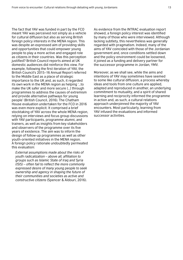The fact that YAV was funded in part by the FCO meant YAV was perceived not simply as a vehicle for cultural diffusion but also as serving British foreign policy interests in the MENA region. This was despite an expressed aim of providing skills and opportunities that could empower young people to play a more active and engaged role as citizens in their countries. Was this perception justified? British Council reports aimed at UK domestic audiences did reinforce this view. For example, following the first iteration of YAV, the British Council's 2015–16 Annual Report referred to the Middle East as a place of strategic importance to the UK and, as such, it regarded its own work in the MENA region as helping '…to make the UK safer and more secure […] through programmes to address the causes of extremism and provide alternative pathways for young people' (British Council, 2016). The Chatham House evaluation undertaken for the FCO in 2016 was even more explicit. It comprised a brief stocktaking of YAV across the whole MENA region, relying on interviews and focus group discussions with YAV participants, programme alumni, and trainers, as well as insights from key stakeholders and observers of the programme over its five years of existence. The aim was to inform the design of follow-up programmes as well as other youth-oriented initiatives in the MENA region. A foreign policy rationale undoubtedly permeated this evaluation:

*External assumptions made about the risks of youth radicalization – above all, affiliation to groups such as Islamic State of Iraq and Syria (ISIS) – often fail to reflect the more commonly expressed desire of many young people to seek ownership and agency in shaping the future of their communities and societies as active and constructive citizens* (Spencer & Aldouri, 2016).

As evidence from the INTRAC evaluation report showed, a foreign policy interest was identified by many of those who were interviewed. Although lacking subtlety, this nevertheless was generally regarded with pragmatism. Indeed, many of the aims of YAV coincided with those of the Jordanian government and, once conditions settled down and the policy environment could be loosened, it joined as a funding and delivery partner for the successor programme in Jordan, YMV.

Moreover, as we shall see, while the aims and intentions of YAV may sometimes have seemed to some like cultural diffusion, a process whereby ideas and tools from one culture are applied, adapted and reproduced in another, an underlying commitment to mutuality, and a spirit of shared learning and reciprocity informed the programme in action and, as such, a cultural relations approach underpinned the majority of YAV encounters. Most particularly, learning from YAV infused the evaluations and informed successor activities.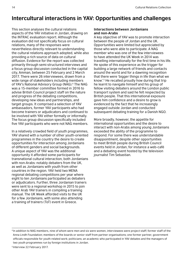### **Intercultural interactions in YAV: Opportunities and challenges**

This section analyses the cultural relations aspects of the YAV initiative in Jordan, drawing on the INTRAC evaluation report. Although the evaluation did not specifically focus on cultural relations, many of the responses were nevertheless directly relevant to understanding the cultural relations approach adopted, while also providing a rich source of data on cultural diffusion. Evidence for the report was collected primarily through semi-structured interviews and a focus group discussion conducted in the capital city, Amman, between 25 February and 2 March 2017. There were 26 interviewees, drawn from a wide range of stakeholders including members of YAV's National Advisory Group (NAG).4 The NAG was a 15-member committee formed in 2016 to advise British Council project staff on the nature and progress of the debating competitions, developing new ideas and partnerships, and target groups. It comprised a selection of YAV ambassadors, former YAV participants who had become trainers or adjudicators and continued to be involved with YAV either formally or informally. The focus group discussion specifically included five YAV participants who were not NAG members.

In a relatively crowded field of youth programmes, YAV shared with a number of other youth-oriented programmes in the country the desire to create opportunities for interaction among Jordanians of different genders and social backgrounds. A unique aspect of YAV was the additional opportunity it afforded some participants for transnational cultural interaction, both Jordanians with non-Arabs: notably debaters from the UK, as well as Jordanians with youth from other countries in the region. YAV held two MENA regional debating competitions per year where eight to ten Jordanians participated as debaters or adjudicators. Further, three Jordanian trainers were sent to a regional workshop in 2015 to join other Arab YAV trainers in compiling a training manual. The UK Week afforded visits to the UK for a few Jordanians, with some also attending a training of trainers (ToT) event in Greece.

#### **Interactions between Jordanians and non-Arabs**

A key objective of YAV was to promote interaction between the people of Jordan and the UK. Opportunities were limited but appreciated by those who were able to participate. A NAG member who was one of the few interviewees to have attended the UK Week in 2014 was travelling internationally for the first time in his life. He spoke of this experience as the trigger for building a large network of friends and contacts around the world and for a dawning recognition that there were 'bigger things in life than what we know'.5 He recalled proudly how during that trip he learnt to navigate himself and his group of fellow visiting debaters around the London public transport system and said he felt respected by British people. That this international exposure gave him confidence and a desire to grow is evidenced by the fact that he increasingly engaged outside Jordan and conducted subsequent debating training for a Danish NGO.

More broadly, however, the appetite for international opportunities and the desire to interact with non-Arabs among young Jordanians exceeded the ability of the programme to respond. For some there was understandable disappointment, despite other opportunities to meet British people during British Council events held in Jordan, for instance a web-café and a debating event hosted by the television journalist Tim Sebastian.

<sup>4</sup> In addition to NAG members, nine of whom were men and six were women, interviewees were project staff; former staff of the Anna Lindh Foundation; members of the boards or senior staff from partner organisations; one former partner, government officials responsible for youth-related work; politicians; an academic who participated in YAV debates and the managers of two youth programmes run by foreign institutions in Jordan.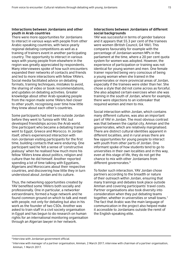#### **Interactions between Jordanians and other youth in Arab countries**

There were more opportunities for Jordanians to interact in various ways with people from other Arabic-speaking countries, with twice-yearly regional debating competitions as well as a training of trainers event in another participating country. The opportunity to interact in various ways with young people from elsewhere in the region was greatly appreciated by respondents. Many interviewees spoke of how such encounters expanded their networks of contacts and friends and led to more interactions with fellow YAVers. Social media facilitated advice on debating formats, training techniques, mistakes to avoid. the sharing of video or book recommendations, and updates on debating activities. Greater knowledge about other Arab-speaking people from the region made some YAVers feel closer to other youth, recognising over time how little they knew about each other's countries.

Some participants had not been outside Jordan before they went to Tunisia with YAV, but developed friendships across the Arab world. One participant who became a debating trainer went to Egypt, Greece and Morocco. In Jordan itself, others experienced interaction with non-Jordanian visiting participants for the first time, building contacts that were enduring. One participant said he felt a sense of 'constructive jealousy' when he realised how much more his fellow YAVers knew about politics, religion and culture than he did himself. Another reported spending a lot of time talking with Egyptians, Algerians and Moroccans about their respective countries, and discovering how little they in turn understood about Jordan and its culture.

Thus, the networking opportunities created by YAV benefited some YAVers both socially and professionally. One in particular, a networker extraordinaire, formed a huge network and he found common ground on which to talk and meet with people, not only for debating but also in his work as the founder of two CSOs. Another was asked to train staff in a civil society organisation in Egypt and has begun to do research on human rights for an international monitoring organisation through an Algerian lawyer in her network.

#### **Interactions between Jordanians of different social backgrounds**

YAV was successful in terms of gender balance and it appears that 55.3 per cent of the trainees were women (British Council, G4 YAV). This compares favourably for example with the percentage of Jordanian women MPs in the parliament at the time, where a 20 per cent quota system for women was adopted. However, the experience of participation or training was not identical for young women and men. One female trainer reported being very conscious of being a young woman when she trained in the governorates or more provincial areas of Jordan, especially if the trainees were older than her. She chose a style that did not come across as forceful. She also adapted certain exercises when she was training in the south of Jordan, where for example, there were objections to an icebreaker that required women and men to mix.

Social interaction within Jordan, which contains many different cultures, was also an important part of YAV in Jordan. The most obvious contrast was that between the capital city, Amman and the governorates, which are relatively marginalised. There are distinct cultural identities apparent in different localities, and in rural areas there are few opportunities for young people to interact with youth from other parts of Jordan. One informant spoke of how students tend to go to universities in their own localities and in this way, even at this stage of life, they do not get the chance to mix with other Jordanians from different governorates.<sup>6</sup>

To foster such interaction, YAV Jordan chose partners according to the breadth or nature of their outreach within Jordan, ensuring that many trainings and debates took place outside Amman and covering participants' travel costs. Partner organisations also took diversity into consideration when they put debating teams together, whether in universities or small towns.<sup>7</sup> The fact that Arabic was the main language of communication in the project also helped make it accessible to Jordanians outside the remit of the English-speaking elite.

<sup>6</sup> Interview with Jordanian government official.

<sup>7</sup> Interview with manager of a partner organisation, Amman, 2 March 2017; interview with chairman of a partner organisation, Amman, 1 March 2017.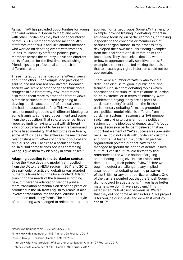As such, YAV has provided opportunities for young men and women in Jordan to meet and work with other Jordanians they had not encountered before. A NAG member reported meeting MPs, staff from other NGOs and, like another member who worked on debating events with women's unions, municipality staff and political party members across the country. He visited different parts of Jordan for the first time, establishing friendships and professional contacts from different areas.

These interactions changed some YAVers' views about 'the other'. For example, one participant said he had not realised how diverse Jordanian society was, while another began to think about refugees in a different way. YAV interactions also made them more tolerant of different views. A female participant reported beginning to develop 'partial acceptance' of political views she had not accepted before. This was a direct result of meeting people with different ideologies: some Islamists, some pro-government and some from the opposition. That said, another participant reported finding having to deal with different kinds of Jordanians not to be easy. He bemoaned a 'fossilised mentality' that led to the rejection by some of YAV's ideas. Nevertheless, he maintained relationships with YAVers of different political and religious beliefs. 'I aspire to a secular society,' he said, 'but some friends see it as something wrong. I give them my ideology in small doses.<sup>'8</sup>

**Adapting debating to the Jordanian context**

Since the Mace debating model first travelled from the UK to the MENA region in 2011 and 2012, this particular practice of debating was adapted numerous times to suit the local context. Adapting training to the needs of the trainees is nothing new, but here the adaptation went beyond a mere translation of manuals on debating practice produced in the UK from English to Arabic. It also involved translation into the local culture. This adaptation took many forms. The content or style of the training was changed to reflect the trainer's

approach or target groups. Some YAV trainers, for example, provide training in debating, others in advocacy, focusing on particular topics, or making it specific to the concerns or membership of particular organisations. In the process, they developed their own manuals, finding examples from the local context to illustrate points and techniques. They themselves decided whether or how to approach locally sensitive topics. For example, a trainer reported making the decision that to discuss gay rights in Jordan would not be appropriate.

There were a number of YAVers who found it difficult to discuss religion in public or during training. One said that debating topics which approached Christian–Muslim relations in Jordan as 'co-existence' or in terms of 'ethnicity' were problematic, saying, 'they are all parts of Jordanian society'. In addition, the British parliamentary debating format is grounded on a political model which is different from the Jordanian system. In response, a NAG member said: 'I am trying to transfer not the political system, but the ideology of democracy.'9 A focus group discussion participant believed that an important element of YAV's success was precisely because it did not clash with Jordanian customs and norms.10 A leader in a Jordanian partner organisation pointed out that YAVers had managed to ground the notion of debate in local culture. 'Even in cultural old texts they find references to the whole notion of arguing and debating, being civil in discussions and demonstrating their points of view.'11 Here we begin to detect a challenge to any implied assumption that debating was the preserve of the British or any other particular culture. One of the trainers pointed out that the British Council did not object to adaptations: '"If you have better materials, we don't have a problem." This established mutual trust between us. We felt that they did not come as instructors. "This project is for you, be our guests and do with it what you see fit".'12

<sup>8</sup> Interview member of NAG, 25 February 2017.

<sup>9</sup> Interview with a member of NAG, Amman, 28 February 2017.

<sup>10</sup> Focus Group Discussion, Amman, 1 March 2017.

<sup>11</sup> Interview with vice-president of a partner organisation, Amman, 27 February 2017.

<sup>12</sup> Interview with a member of NAG, Amman, 28 February 2017.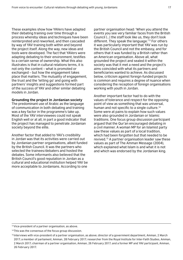These examples show how YAVers have adapted their debating training over time through a process whereby ideas and techniques have been reinterpreted and reworked, and then cascaded by way of YAV training both within and beyond the project itself. Along the way, new ideas and tools were developed. The fact that YAVers were adapting debating to their environment, testifies to a certain sense of ownership. What this also illustrates is that in cultural relations terms, it is not only the content – what is promoted or exchanged – but how the engagement takes place that matters. The mutuality of engagement, the trust and the 'letting go' and going with partners' insights and suggestions formed part of the success of YAV and other similar debating models in Jordan.

#### **Grounding the project in Jordanian society**

The predominant use of Arabic as the language of communication in both debating and training was a key factor in the programme's take up. Most of the YAV interviewees could not speak English well or at all, in part a good indicator that the project has managed to penetrate Jordanian society beyond the elite.

Another factor that added to YAV's credibility in Jordan was that its activities were carried out by Jordanian partner organisations, albeit funded by the British Council. It was the partners who selected the trainees/debaters and hosted the debates. Some informants also believed that the British Council's good reputation in Jordan as a cultural and educational institution helped YAV be more acceptable to Jordanians. According to one

partner organisation head: 'When you attend the events you see very familiar faces from the British Council […] the staff look like us, they don't look different. They speak the language.'13 For others it was particularly important that YAV was run by the British Council and not the embassy, and for others that it was funded by a British rather than an American organisation. Above all, what grounded the project and sealed it within the society was that it met a need and the project's aims coincided with what its partners and beneficiaries wanted to achieve. As discussed below, criticism against foreign-funded projects is common and requires a degree of nuance when considering the reception of foreign organisations working with youth in Jordan.

Another important factor had to do with the values of tolerance and respect for the opposing point of view as something that was universal, human and not specific to a single culture.<sup>14</sup> Some were at pains to explain how such values were also grounded in Jordanian or Islamic traditions. One focus group discussion participant argued that the Qur'an encouraged debating in a civil manner. A woman MP for an Islamist party saw these values as part of a local tradition, which had been forgotten but that needed to be revived.15 A partner organisation leader saw these values as part of The Amman Message (2004), which explained what Islam is and what it is not and which was endorsed by the Jordanian king.

<sup>13</sup>Vice-president of a partner organisation, as above.

<sup>14</sup> This was the consensus of the focus group discussion.

<sup>15</sup> Interviews with vice-president of a partner organisation, as above; director of a government department, Amman, 2 March 2017; a member of parliament, Amman, 28 February 2017; researcher from the Royal Institute for Inter-Faith Studies, Amman, 2 March 2017; chairman of a partner organisation, Amman, 26 February 2017; and a former MP and YAV participant, Amman, 26 February 2017.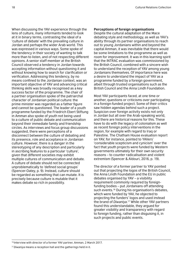When discussing the YAV experience through the lens of culture, many informants tended to look at it in binary terms, contrasting the ideal of a 'culture of debate' with the prevailing culture in Jordan and perhaps the wider Arab world. This was expressed in various ways. Some spoke of the tendency in their society of wanting to talk more than to listen, and of not respecting different opinions. A senior staff member at the British Council observed a tendency in Jordan towards accepting information without questioning it and without knowing how to search for clarification or verification. Addressing this tendency, by no means confined to the Jordanian context, was an important objective of YAV and advancing critical thinking skills was broadly recognised as a key success factor of the programme. The chair of a partner organisation spoke of the patriarchal character of Jordanian political culture: the prime minister was regarded as a father figure and cannot be questioned. The leader of a youth programme funded by the Friedrich Ebert Stiftung in Amman also spoke of youth not being used to a culture of public debate and communication beyond their immediate family and friendship circles. As interviews and focus group discussions suggested, there were perceptions of a disconnect between the culture of debating and its presence, role and acceptance in Jordanian culture. However, there is a danger in the stereotyping of any description and particularly in ascribing features to a particular 'culture', given that different societies may exhibit multiple cultures of communication and debate. A culture of debate should not be connected unproblematically to 'defined social groups' (Spencer-Oatey, p. 9). Instead, culture should be regarded as something that can mutate. It is precisely because culture is mutable that it makes debate so rich in possibility.

#### **Perceptions of foreign organisations**

Despite the cultural adaptation of the Mace debating style and methodology, as well as YAV's ability through its partner organisations to reach out to young Jordanians within and beyond the capital Amman, it was inevitable that there would be some limitations to the programme as well as room for improvement. It was in this learning spirit that the INTRAC evaluation was commissioned by the British Council, combined with a sincere wish to understand the reception of YAV among young Jordanians themselves. Of importance here was a desire to understand the impact of YAV as a programme funded by a foreign government, albeit through trusted organisations such as the British Council and the Anna Lindh Foundation.

Most YAV participants faced, at one time or another, questions or criticisms over participating in a foreign-funded project. Some of their critics saw hidden agendas behind such a project. Suspicion over foreign activity exists not only in Jordan but all over the Arab-speaking world, and there are historical reasons for this. These have to do with the legacy of colonialism as well as recent foreign policy interventions in the region, for example with regard to Iraq or Palestine. The Chatham House evaluation report on YAV, for instance, pointed to YAVers' 'considerable scepticism and cynicism' over the fact that youth projects were funded by Western governments ultimately for their own security reasons – to counter radicalisation and violent extremism (Spencer & Aldouri, 2016, p. 19).

The director of a former partner to YAV pointed out that projecting the logos of the British Council, the Anna Lindh Foundation and the EU in public debates organised by YAV – a visibility requirement commonly required by foreignfunding bodies – put Jordanians off attending such events.<sup>16</sup> During his organisation's debates, which were funded by YAV, he objected to projecting the funders' logos and used instead the brand of *Diwaniya*. 17 While other YAV partners found this understandable, they argued for greater visibility and transparency with regard to foreign funding, rather than disguising it, in such projects and public events.

<sup>16</sup> Interview with director of a former YAV partner, Amman, 2 March 2017.

<sup>17</sup>*Diwaniya* means a reception hall and the gatherings held in it.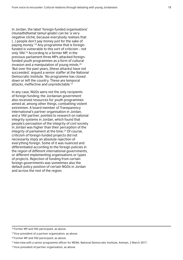In Jordan, the label 'foreign-funded organisations' (*munadhdhamat tamuil ajnabi*) can be 'a very negative cliché, because everybody realises that [...] people don't pay money just for the sake of paying money.'18 Any programme that is foreignfunded is vulnerable to this sort of criticism – not only YAV<sup>19</sup> According to a former MP in the previous parliament three MPs attacked foreignfunded youth programmes as a form of cultural invasion and a manipulation of young minds.20 'But over the past years, [these attacks] have not succeeded,' argued a senior staffer at the National Democratic Institute. 'No programme has closed down or left the country. These are temporal attacks, ineffective and unpredictable.'21

In any case, NGOs were not the only recipients of foreign funding; the Jordanian government also received resources for youth programmes aimed at, among other things, combatting violent extremism. A board member of Transparency International's partner organisation in Jordan, and a YAV partner, pointed to research on national integrity systems in Jordan, which found that people's perception of the integrity of civil society in Jordan was higher than their perception of the integrity of parliament at the time.<sup>22</sup> Of course, criticism of foreign-funded projects did not necessarily imply an absolute rejection of everything foreign. Some of it was nuanced and differentiated according to the foreign policies in the region of different international governments, or different implementing organisations or types of projects. Rejection of funding from certain foreign governments was sometimes also the default policy position of certain NGOs in Jordan and across the rest of the region.

<sup>18</sup> Former MP and YAV participant, as above.

<sup>19</sup>Vice-president of a partner organisation, as above.

<sup>20</sup> Former MP and YAV participant, as above.

<sup>21</sup> Interview with a senior programme officer for MENA, National Democratic Institute, Amman, 2 March 2017.

<sup>22</sup>Vice-president of partner organisation, as above.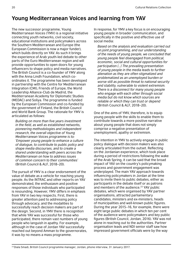# **Young Mediterranean Voices and learning from YAV**

The new successor programme, Young Mediterranean Voices (YMV) is a regional initiative connecting youth networks, civil society, educational institutions and policymakers across the Southern Mediterranean and Europe (the European Commission is now a major funder), which builds directly on YAV. As such it brings the experience of Arab youth-led debate to other parts of the Euro-Mediterranean region and will provide opportunities to open doors for young influencers to shape policy and media narratives. The British Council is a co-founder of YMV along with the Anna Lindh Foundation, which coordinates it. The programme has been developed in partnership with the Centre for Mediterranean Integration (CMI), Friends of Europe, the World Leadership Alliance-Club de Madrid, the Mediterranean Academy for Diplomatic Studies (MEDAC) and Soliya. The programme is funded by the European Commission and co-funded by the government of Finland, the British Council and World Bank Group. The rationale for YMV is articulated as follows:

*Building on more than five years investment in the field, as well as established networks, pioneering methodologies and independent research, the overall objective of Young Mediterranean Voices programme is to: 'Empower young people to enhance a culture of dialogue, to contribute to public policy and shape media discourses, and to create a shared understanding with peers across the Mediterranean on how to address issues of common concern to their communities'*  (British Council & ALF, 2018–20).

The pursuit of YMV is a clear endorsement of the value of debate as a vehicle for reaching young people. As the INTRAC and other reports on YAV demonstrated, the enthusiasm and positive responses of those individuals who participated is resounding. However, YMV differs in emphasis from YAV in two key respects. First, there is greater attention paid to addressing policy through advocacy, and the modalities to successfully reach decision makers are part of the design. Second, in YMV there is recognition that while YAV was successful for those who participated, there remain vast numbers of young people who languish in apathy. For example, although in the case of Jordan YAV successfully reached out beyond Amman to the governorates, it was by no means a mass programme.

In response, for YMV a key focus is on encouraging young people in broader communication, and specifically in the positive and effective use of social media:

*Based on the analysis and evaluation carried out on joint programming, and our understanding of the needs of young people, we concluded that young people feel disengaged from political, economic, social and cultural opportunities for participation […] The prevailing presentation of young people in the media leads to further alienation as they are often stigmatized and problematized as an unemployed burden or worse still as possible threat to national security and stability, vulnerable to violent extremism. There is a disconnect for many young people who engage with each other through social media but do not know which sources are reliable or which they can trust or depend*  (British Council & ALF, 2018–20).

One of the aims of YMV, therefore, is to equip young people with the skills to enable them to contribute towards a more positive narrative about young people that does not simply comprise a negative presentation of unemployment, apathy or extremism.

The intention in YMV to actively engage in public policy dialogue with decision makers was also clearly articulated from the outset. Reflecting on the Jordanian experience, which took place during a period of restrictions following the wake of the Arab Spring, it can be said that the broad impact of YAV on the country's policymaking process and government engagement was underplayed. The main YAV approach towards influencing policymakers in Jordan at the time was to invite them to public debates, either as participants in the debate itself or as patrons and members of the audience.<sup>23</sup> YAV public debates, which were organised by YAV partner organisations, attracted parliamentary candidates, ministers and ex-ministers, heads of municipalities and well-known public figures. During the year 2015–16, for example, there were eight large public debates in which ten per cent of the audience were policymakers and key public figures (British Council, Jordan, 2016). YAV was not alone in reaching out to the authorities. Partner organisation leads and NDI senior staff saw how impressed government officials were by the way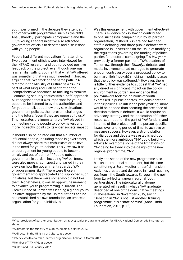youth performed in the debates they attended 24 and other youth programmes such as the NDI's Ana Usharek ('I participate') programme and the FES's Young Leaders initiative also attracted government officials to debates and discussions with young people.

People had different motivations for attending. Two government officials were interviewed for the INTRAC research, and both provided positive feedback on the project, even though one was less familiar with it. Both felt that what YAV offered was something that was much needed in Jordan, arguing that: 'We work on the same path.'25 A director in the Ministry of Culture saw YAV as part of what King Abdullah had termed the 'comprehensive approach' to tackling extremism – combining security tactics with a 'soft' approach. All recognised that it was important for young people to be listened to by the authorities and for youth to talk about how they saw situations, government policies, their present challenges and the future, 'even if they are opposed to us'.26 This illustrates the important role YAV played in connecting young people to policymakers and, more indirectly, points to its wider societal impact.

It should also be pointed out that a number of influential people, including those in government, did not always share this enthusiasm or believe in the need for youth debate. This view saw it as encouragement for young people to become unruly and out of control.<sup>27</sup> People outside government in Jordan, including YAV partners, were also more circumspect and varied in their views on how the government regarded YAV or programmes like it. There were those in government who appreciated and supported such initiatives, but there were some who did not like them. Nonetheless, it was an opportune moment to advance youth programming in Jordan. The Crown Prince of Jordan was leading a global youth initiative supported by the United Nations and he had established his own foundation, an umbrella organisation for youth initiatives.

Was this engagement with government effective? There is evidence of YAV having contributed to one successful campaign run by its partner organisation, Rasheed. YAV trained Rasheed staff in debating, and three public debates were organised in universities on the issue of modifying the regulations governing the funding of political parties for electoral campaigning.28 A few years previously, a former partner of YAV, Leaders of Tomorrow, through their *Diwaniya* debates and media involvement, had managed to generate enough controversy over a proposed policy to ban narghileh (hookah) smoking in public places that the policy was softened.29 However, there is little further evidence to suggest that YAV had any direct or significant impact on the policy environment in Jordan, nor evidence that policymakers took the opinions of youth expressed in public debates into consideration in their policies. To influence policymaking, more would be needed than securing the presence of decision makers in debates. It would require an advocacy strategy and the dedication of further resources – both on the part of YAV funders, and in terms of the project itself – to pursue specific issues over a long period of time, to achieve or measure success. However, a strong platform for dialogue and debate was established upon which the more ambitious YMV could build, with efforts to overcome some of the limitations of YAV being factored into the design of the new regional programme, YMV.

Lastly, the scope of the new programme also has an international component, but this time constituting a 'Euro-Mediterranean' dimension. Activities created and delivered in – and reaching out from – the South towards Europe in the north form Euro-Mediterranean regional 'youth partnerships'. The intercultural dialogue generated will result in what a YAV graduate described at one of the consultative meetings in Thessaloniki in November 2015, saying: 'Debating in YAV is not just another training programme, it is a state of mind' (Anna Lindh Foundation, 2015, p. 13).

<sup>24</sup>Vice-president of partner organisation, as above; senior programme officer for MENA, National Democratic Institute, as above.

<sup>25</sup>A director in the Ministry of Culture, Amman, 2 March 2017.

<sup>26</sup>A director in the Ministry of Culture, as above.

<sup>27</sup> Interview with chairman, partner organisation, Amman, 1 March 2017.

<sup>28</sup>Member of YAV NAG, as above.

<sup>29</sup>Diala Smadi, 31 January 2017.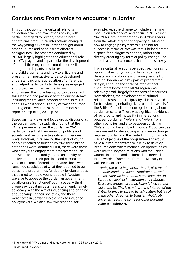# **Conclusions: From voice to encounter in Jordan**

This contribution to the cultural relations collection draws on evaluations of YAV, with particular regard to Jordan, showing how debate and intercultural interactions changed the way young YAVers in Jordan thought about other cultures and people from different backgrounds. The research conducted by INTRAC largely highlighted the educational role that YAV played, and in particular the development of critical thinking and communication skills. It taught participants how to research and build arguments and how to articulate and present them persuasively. It also developed understanding and appreciation of difference, and helped participants to develop as engaged and proactive human beings. As such it emphasised the individual opportunities seized, skills learned and passions formed during debate, including for activities beyond debate. In this it concurs with a previous study of YAV conducted at a regional level: the 2016 Chatham House report (Kemp et al., 2014, p. 8).

Based on interviews and focus group discussions, the Jordan-specific study also found that the YAV experience helped the Jordanian YAV participants adjust their views on politics and society, and become active citizens in various ways. However, in reviewing the views of young people reached or touched by YAV, three broad categories were identified. First, there were those who saw youth engagement programmes such as YAV as an opportunity to add an activity or achievement to their portfolio and curriculum vitae or resume. Second, there were those who remained suspicious of what they deemed to be parachute programmes funded by foreign entities that aimed to mould young people in Western ways, or to appease the Jordanian government by allowing a 'sanctioned' youth space. A third group saw debating as a means to an end, namely advocacy, with the aim of influencing and bringing about change in their societies, and there were some in Jordan who did seek to influence policymakers. We also saw YAV respond, for

example, with the change to include a training module on advocacy<sup>30</sup> and again, in 2016, when YAV MENA brought together YAV Ambassadors from the whole region for capacity building on how to engage policymakers. 31 The bar for success in terms of YAV was that it helped create a space for dialogue to happen, rather than directly creating any form of policy change. The latter is a complex process that happens slowly.

From a cultural relations perspective, increasing opportunities for young Jordanians to meet, debate and collaborate with young people from outside Jordan was a key part of programme design, although the scale of international encounters beyond the MENA region was relatively small, largely for reasons of resources. Nevertheless, the development of cultural relations rests upon reciprocity. This is as valid for transferring debating skills to Jordan as it is for the British Council to encourage learning about Jordanian culture. There was significant evidence of reciprocity and mutuality in interactions between Jordanian YAVers and YAVers from other countries, and also between Jordanian YAVers from different backgrounds. Opportunities were missed for developing a genuine exchange between Jordan and the United Kingdom, which was an objective of the programme and would have allowed for greater mutuality to develop. Resource constraints meant such opportunities were limited, beyond relations with the British Council in Jordan and its immediate network. In the words of someone from the Ministry of Culture in Jordan:

*Britain, the West in general, the US, also [need] to understand our values, requirements and needs. What we hear about some countries in Europe […] against immigration and refugees. There are groups targeting Islam […] We cannot just stand by. This is why it is in the interest of the British Council to spread British culture but [also] in the other direction to transfer what Arab societies need. The same for other [foreign] cultural institutions.* 

<sup>30</sup> Interview with YAV trainer and adjudicator, Amman, 25 February 2017.

31Diala Smadi, as above.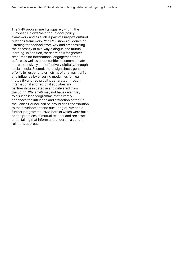The YMV programme fits squarely within the European Union's 'neighbourhood' policy framework and as such is part of Europe's cultural relations framework. Yet YMV shows evidence of listening to feedback from YAV and emphasising the necessity of two-way dialogue and mutual learning. In addition, there are now far greater resources for international engagement than before, as well as opportunities to communicate more extensively and effectively digitally, through social media. Second, the design shows genuine efforts to respond to criticisms of one-way traffic and influence by ensuring modalities for real mutuality and reciprocity, generated through international and regional activities and partnerships initiated in and delivered from the South. While YAV may not have given way to a successor programme that directly enhances the influence and attraction of the UK, the British Council can be proud of its contribution to the development and nurturing of YAV and a further programme, YMV, both of which were built on the practices of mutual respect and reciprocal undertaking that inform and underpin a cultural relations approach.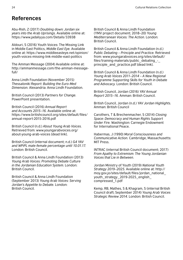### **References**

Abu-Rish, Z (2017) *Doubling down: Jordan six years into the Arab Uprisings.* Available online at: <https://www.jadaliyya.com/Details/33938>

Aldouri, S (2016) Youth Voices: The Missing Link in Middle East Politics, *Middle East Eye.* Available online at: [https://www.middleeasteye.net/opinion/](https://www.middleeasteye.net/opinion/youth-voices-missing-link-middle-east-politics) [youth-voices-missing-link-middle-east-politics](https://www.middleeasteye.net/opinion/youth-voices-missing-link-middle-east-politics) 

The Amman Message (2004) Available online at: [http://ammanmessage.com/the-amman-message](http://ammanmessage.com/the-amman-message-full/)[full/](http://ammanmessage.com/the-amman-message-full/) 

Anna Lindh Foundation (November 2015) *Thessaloniki Report: Building the Euro-Med Dimension.* Alexandria: Anna Lindh Foundation.

British Council (2013) *Partners for Change.* PowerPoint presentation.

British Council (2016) *Annual Report and Accounts 2015–16.* Available online at: [https://www.britishcouncil.org/sites/default/files/](https://www.britishcouncil.org/sites/default/files/annual-report-2015-2016.pdf) [annual-report-2015-2016.pdf](https://www.britishcouncil.org/sites/default/files/annual-report-2015-2016.pdf)

British Council (n.d.) *About Young Arab Voices.* Retrieved from: [www.youngarabvoices.org/](http://www.youngarabvoices.org/about-young-arab-voices) [about-young-arab-voices](http://www.youngarabvoices.org/about-young-arab-voices) [dead link].

British Council (internal document; n.d.) *G4 YAV and WPiPL male-female percentage until 10.01.17.* London: British Council.

British Council & Anna Lindh Foundation (2013) *Young Arab Voices: Promoting Debate Culture in the Jordanian Education System.* London: British Council.

British Council & Anna Lindh Foundation (September 2013) *Young Arab Voices: Serving Jordan's Appetite to Debate.* London: British Council.

British Council & Anna Lindh Foundation (YMV project document; 2018–20) Y*oung Mediterranean Voices: The Action.* London: British Council.

British Council & Anna Lindh Foundation (n.d.) *Public Debating – Principle and Practice.* Retrieved from: [www.youngarabvoices.org/sites/default/](http://www.youngarabvoices.org/sites/default/files/training-materials/public_debating_-_principle_and_practice.pdf) files/training-materials/public\_debating principle and practice.pdf [dead link].

British Council & Anna Lindh Foundation (n.d.) *Young Arab Voices 2011–2014 – A New Regional Programme Supporting Skills for Youth in Debate and Advocacy.* London: British Council.

British Council, Jordan (2016) *YAV Annual Report 2015–16.* Amman: British Council.

British Council, Jordan (n.d.) *YAV Jordan Highlights.* Amman: British Council

Carothers, T & Brechenmacher, S (2014) *Closing Space: Democracy and Human Rights Support Under Fire.* Washington: Carnegie Endowment for International Peace.

Habermas, J (1990) *Moral Consciousness and Communicative Action.* Cambridge, Massachusetts: MIT Press.

INTRAC (internal British Council document; 2017) *From Apathy to Extremism: The Young Jordanian Voices that Lie in Between.*

Jordan Ministry of Youth (2019) *National Youth Strategy 2019–2025.* Available online at: [http://](http://moy.gov.jo/sites/default/files/jordan_national_youth_strategy_2019-2025_english_compressed_1.pdf) [moy.gov.jo/sites/default/files/jordan\\_national\\_](http://moy.gov.jo/sites/default/files/jordan_national_youth_strategy_2019-2025_english_compressed_1.pdf) youth\_strategy\_2019-2025\_english [compressed\\_1.pdf](http://moy.gov.jo/sites/default/files/jordan_national_youth_strategy_2019-2025_english_compressed_1.pdf) 

Kemp, RB, Mathes, S & Khagram, S (internal British Council draft; September 2014) *Young Arab Voices Strategic Review 2014.* London: British Council.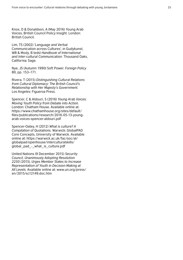Knox, D & Donaldson, A (May 2016) Young Arab Voices, British Council Policy Insight. London: British Council.

Lim, TS (2002) 'Language and Verbal Communication across Cultures', in Gudykunst, WB & Mody, B (eds) *Handbook of International and Inter-cultural Communication.* Thousand Oaks, California: Sage.

Nye, JS (Autumn 1990) Soft Power. *Foreign Policy* 80, pp. 153–171.

Rivera, T (2015) *Distinguishing Cultural Relations from Cultural Diplomacy: The British Council's Relationship with Her Majesty's Government.* Los Angeles: Figueroa Press.

Spencer, C & Aldouri, S (2016) *Young Arab Voices: Moving Youth Policy from Debate into Action.* London: Chatham House. Available online at: [https://www.chathamhouse.org/sites/default/](https://www.chathamhouse.org/sites/default/files/publications/research/2016-05-13-young-arab-voices-spencer-aldouri.pdf) [files/publications/research/2016-05-13-young](https://www.chathamhouse.org/sites/default/files/publications/research/2016-05-13-young-arab-voices-spencer-aldouri.pdf)[arab-voices-spencer-aldouri.pdf](https://www.chathamhouse.org/sites/default/files/publications/research/2016-05-13-young-arab-voices-spencer-aldouri.pdf)

Spencer-Oatey, H (2012) *What is culture? A Compilation of Quotations.* Warwick: GlobalPAD Core Concepts, University of Warwick. Available online at: [https://warwick.ac.uk/fac/soc/al/](https://warwick.ac.uk/fac/soc/al/globalpad/openhouse/interculturalskills/global_pad_-_what_is_culture.pdf) [globalpad/openhouse/interculturalskills/](https://warwick.ac.uk/fac/soc/al/globalpad/openhouse/interculturalskills/global_pad_-_what_is_culture.pdf) [global\\_pad\\_-\\_what\\_is\\_culture.pdf](https://warwick.ac.uk/fac/soc/al/globalpad/openhouse/interculturalskills/global_pad_-_what_is_culture.pdf)

United Nations (9 December 2015) *Security Council, Unanimously Adopting Resolution 2250 (2015), Urges Member States to Increase Representation of Youth in Decision-Making at All Levels.* Available online at: [www.un.org/press/](http://www.un.org/press/en/2015/sc12149.doc.htm) [en/2015/sc12149.doc.htm](http://www.un.org/press/en/2015/sc12149.doc.htm)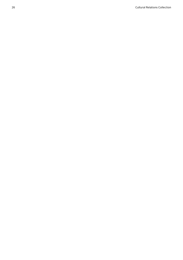Cultural Relations Collection